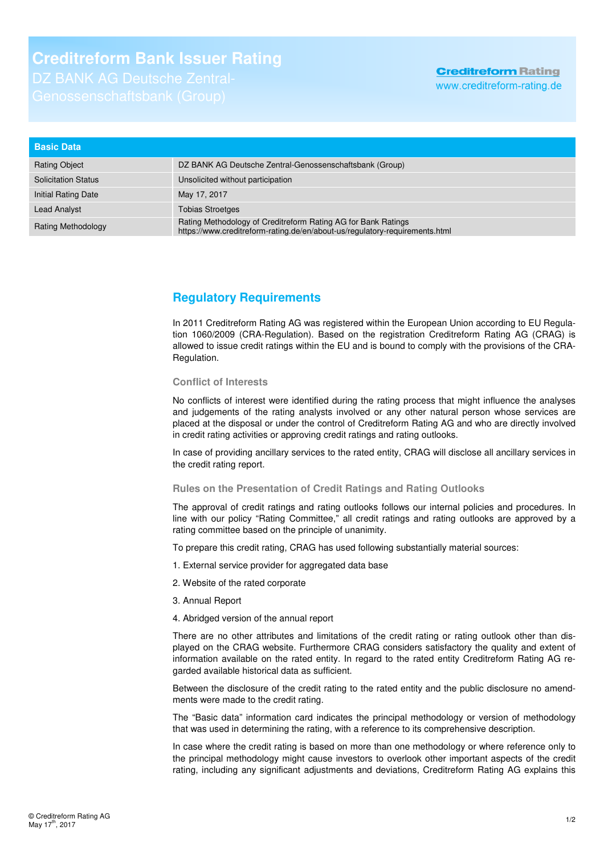# **Creditreform Bank Issuer Rating**

## **Creditreform Rating**

www.creditreform-rating.de

| <b>Basic Data</b>          |                                                                                                                                              |
|----------------------------|----------------------------------------------------------------------------------------------------------------------------------------------|
| <b>Rating Object</b>       | DZ BANK AG Deutsche Zentral-Genossenschaftsbank (Group)                                                                                      |
| <b>Solicitation Status</b> | Unsolicited without participation                                                                                                            |
| Initial Rating Date        | May 17, 2017                                                                                                                                 |
| <b>Lead Analyst</b>        | <b>Tobias Stroetges</b>                                                                                                                      |
| <b>Rating Methodology</b>  | Rating Methodology of Creditreform Rating AG for Bank Ratings<br>https://www.creditreform-rating.de/en/about-us/regulatory-requirements.html |

### **Regulatory Requirements**

In 2011 Creditreform Rating AG was registered within the European Union according to EU Regulation 1060/2009 (CRA-Regulation). Based on the registration Creditreform Rating AG (CRAG) is allowed to issue credit ratings within the EU and is bound to comply with the provisions of the CRA-Regulation.

### **Conflict of Interests**

No conflicts of interest were identified during the rating process that might influence the analyses and judgements of the rating analysts involved or any other natural person whose services are placed at the disposal or under the control of Creditreform Rating AG and who are directly involved in credit rating activities or approving credit ratings and rating outlooks.

In case of providing ancillary services to the rated entity, CRAG will disclose all ancillary services in the credit rating report.

### **Rules on the Presentation of Credit Ratings and Rating Outlooks**

The approval of credit ratings and rating outlooks follows our internal policies and procedures. In line with our policy "Rating Committee," all credit ratings and rating outlooks are approved by a rating committee based on the principle of unanimity.

To prepare this credit rating, CRAG has used following substantially material sources:

- 1. External service provider for aggregated data base
- 2. Website of the rated corporate
- 3. Annual Report
- 4. Abridged version of the annual report

There are no other attributes and limitations of the credit rating or rating outlook other than displayed on the CRAG website. Furthermore CRAG considers satisfactory the quality and extent of information available on the rated entity. In regard to the rated entity Creditreform Rating AG regarded available historical data as sufficient.

Between the disclosure of the credit rating to the rated entity and the public disclosure no amendments were made to the credit rating.

The "Basic data" information card indicates the principal methodology or version of methodology that was used in determining the rating, with a reference to its comprehensive description.

In case where the credit rating is based on more than one methodology or where reference only to the principal methodology might cause investors to overlook other important aspects of the credit rating, including any significant adjustments and deviations. Creditreform Rating AG explains this